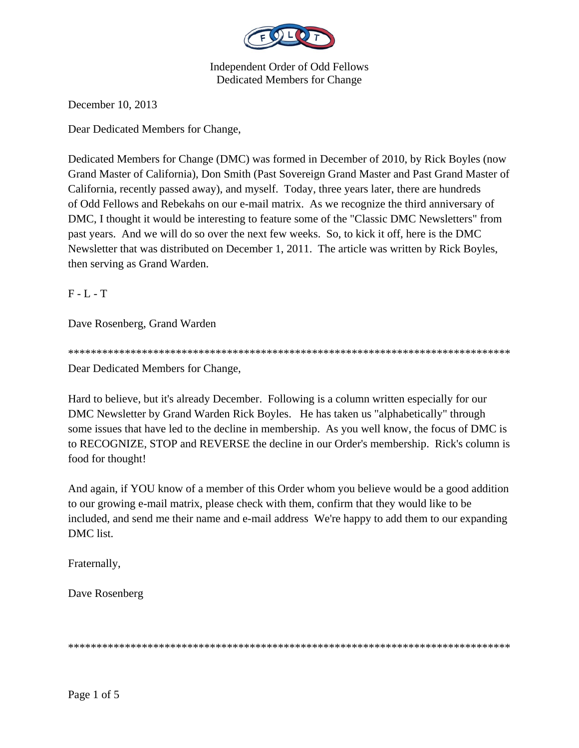

December 10, 2013

Dear Dedicated Members for Change,

Dedicated Members for Change (DMC) was formed in December of 2010, by Rick Boyles (now Grand Master of California), Don Smith (Past Sovereign Grand Master and Past Grand Master of California, recently passed away), and myself. Today, three years later, there are hundreds of Odd Fellows and Rebekahs on our e-mail matrix. As we recognize the third anniversary of DMC, I thought it would be interesting to feature some of the "Classic DMC Newsletters" from past years. And we will do so over the next few weeks. So, to kick it off, here is the DMC Newsletter that was distributed on December 1, 2011. The article was written by Rick Boyles, then serving as Grand Warden.

 $F - L - T$ 

Dave Rosenberg, Grand Warden

Dear Dedicated Members for Change,

Hard to believe, but it's already December. Following is a column written especially for our DMC Newsletter by Grand Warden Rick Boyles. He has taken us "alphabetically" through some issues that have led to the decline in membership. As you well know, the focus of DMC is to RECOGNIZE, STOP and REVERSE the decline in our Order's membership. Rick's column is food for thought!

And again, if YOU know of a member of this Order whom you believe would be a good addition to our growing e-mail matrix, please check with them, confirm that they would like to be included, and send me their name and e-mail address We're happy to add them to our expanding DMC list.

Fraternally,

Dave Rosenberg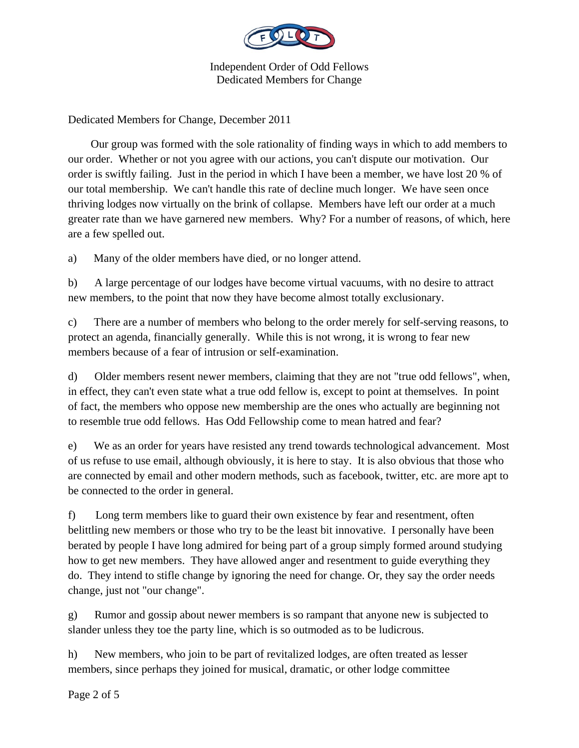

Dedicated Members for Change, December 2011

 Our group was formed with the sole rationality of finding ways in which to add members to our order. Whether or not you agree with our actions, you can't dispute our motivation. Our order is swiftly failing. Just in the period in which I have been a member, we have lost 20 % of our total membership. We can't handle this rate of decline much longer. We have seen once thriving lodges now virtually on the brink of collapse. Members have left our order at a much greater rate than we have garnered new members. Why? For a number of reasons, of which, here are a few spelled out.

a) Many of the older members have died, or no longer attend.

b) A large percentage of our lodges have become virtual vacuums, with no desire to attract new members, to the point that now they have become almost totally exclusionary.

c) There are a number of members who belong to the order merely for self-serving reasons, to protect an agenda, financially generally. While this is not wrong, it is wrong to fear new members because of a fear of intrusion or self-examination.

d) Older members resent newer members, claiming that they are not "true odd fellows", when, in effect, they can't even state what a true odd fellow is, except to point at themselves. In point of fact, the members who oppose new membership are the ones who actually are beginning not to resemble true odd fellows. Has Odd Fellowship come to mean hatred and fear?

e) We as an order for years have resisted any trend towards technological advancement. Most of us refuse to use email, although obviously, it is here to stay. It is also obvious that those who are connected by email and other modern methods, such as facebook, twitter, etc. are more apt to be connected to the order in general.

f) Long term members like to guard their own existence by fear and resentment, often belittling new members or those who try to be the least bit innovative. I personally have been berated by people I have long admired for being part of a group simply formed around studying how to get new members. They have allowed anger and resentment to guide everything they do. They intend to stifle change by ignoring the need for change. Or, they say the order needs change, just not "our change".

g) Rumor and gossip about newer members is so rampant that anyone new is subjected to slander unless they toe the party line, which is so outmoded as to be ludicrous.

h) New members, who join to be part of revitalized lodges, are often treated as lesser members, since perhaps they joined for musical, dramatic, or other lodge committee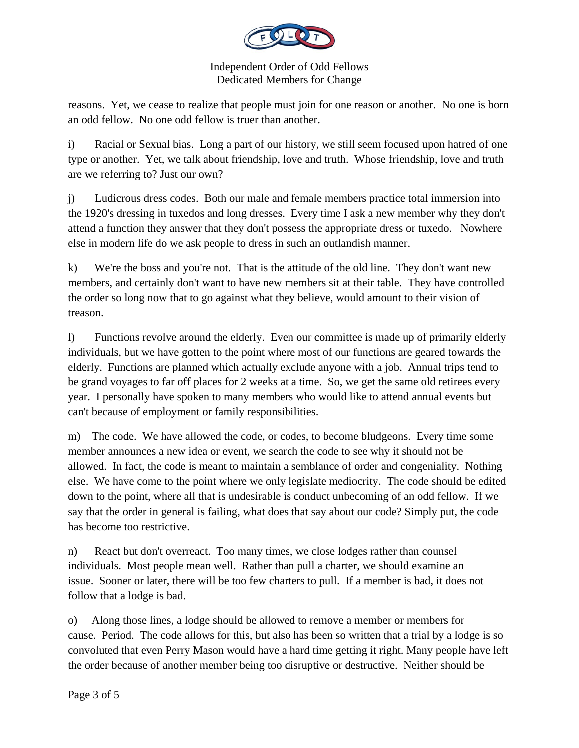

reasons. Yet, we cease to realize that people must join for one reason or another. No one is born an odd fellow. No one odd fellow is truer than another.

i) Racial or Sexual bias. Long a part of our history, we still seem focused upon hatred of one type or another. Yet, we talk about friendship, love and truth. Whose friendship, love and truth are we referring to? Just our own?

j) Ludicrous dress codes. Both our male and female members practice total immersion into the 1920's dressing in tuxedos and long dresses. Every time I ask a new member why they don't attend a function they answer that they don't possess the appropriate dress or tuxedo. Nowhere else in modern life do we ask people to dress in such an outlandish manner.

k) We're the boss and you're not. That is the attitude of the old line. They don't want new members, and certainly don't want to have new members sit at their table. They have controlled the order so long now that to go against what they believe, would amount to their vision of treason.

l) Functions revolve around the elderly. Even our committee is made up of primarily elderly individuals, but we have gotten to the point where most of our functions are geared towards the elderly. Functions are planned which actually exclude anyone with a job. Annual trips tend to be grand voyages to far off places for 2 weeks at a time. So, we get the same old retirees every year. I personally have spoken to many members who would like to attend annual events but can't because of employment or family responsibilities.

m) The code. We have allowed the code, or codes, to become bludgeons. Every time some member announces a new idea or event, we search the code to see why it should not be allowed. In fact, the code is meant to maintain a semblance of order and congeniality. Nothing else. We have come to the point where we only legislate mediocrity. The code should be edited down to the point, where all that is undesirable is conduct unbecoming of an odd fellow. If we say that the order in general is failing, what does that say about our code? Simply put, the code has become too restrictive.

n) React but don't overreact. Too many times, we close lodges rather than counsel individuals. Most people mean well. Rather than pull a charter, we should examine an issue. Sooner or later, there will be too few charters to pull. If a member is bad, it does not follow that a lodge is bad.

o) Along those lines, a lodge should be allowed to remove a member or members for cause. Period. The code allows for this, but also has been so written that a trial by a lodge is so convoluted that even Perry Mason would have a hard time getting it right. Many people have left the order because of another member being too disruptive or destructive. Neither should be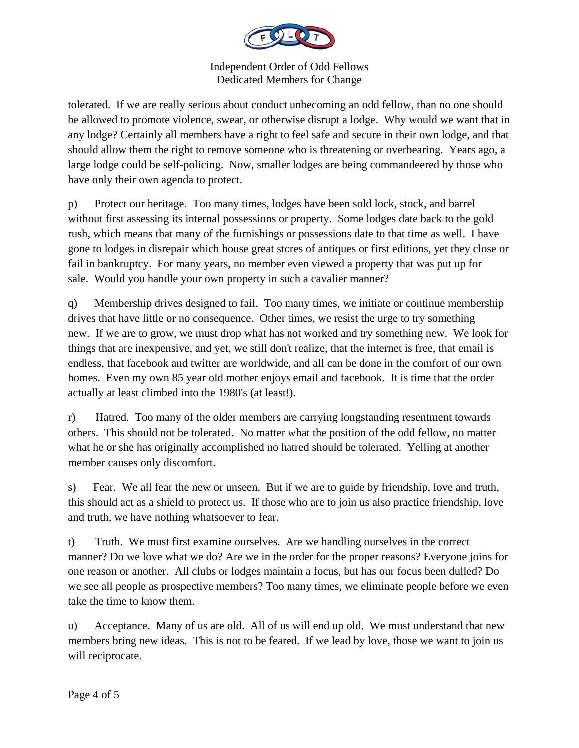

tolerated. If we are really serious about conduct unbecoming an odd fellow, than no one should be allowed to promote violence, swear, or otherwise disrupt a lodge. Why would we want that in any lodge? Certainly all members have a right to feel safe and secure in their own lodge, and that should allow them the right to remove someone who is threatening or overbearing. Years ago, a large lodge could be self-policing. Now, smaller lodges are being commandeered by those who have only their own agenda to protect.

p) Protect our heritage. Too many times, lodges have been sold lock, stock, and barrel without first assessing its internal possessions or property. Some lodges date back to the gold rush, which means that many of the furnishings or possessions date to that time as well. I have gone to lodges in disrepair which house great stores of antiques or first editions, yet they close or fail in bankruptcy. For many years, no member even viewed a property that was put up for sale. Would you handle your own property in such a cavalier manner?

q) Membership drives designed to fail. Too many times, we initiate or continue membership drives that have little or no consequence. Other times, we resist the urge to try something new. If we are to grow, we must drop what has not worked and try something new. We look for things that are inexpensive, and yet, we still don't realize, that the internet is free, that email is endless, that facebook and twitter are worldwide, and all can be done in the comfort of our own homes. Even my own 85 year old mother enjoys email and facebook. It is time that the order actually at least climbed into the 1980's (at least!).

r) Hatred. Too many of the older members are carrying longstanding resentment towards others. This should not be tolerated. No matter what the position of the odd fellow, no matter what he or she has originally accomplished no hatred should be tolerated. Yelling at another member causes only discomfort.

s) Fear. We all fear the new or unseen. But if we are to guide by friendship, love and truth, this should act as a shield to protect us. If those who are to join us also practice friendship, love and truth, we have nothing whatsoever to fear.

t) Truth. We must first examine ourselves. Are we handling ourselves in the correct manner? Do we love what we do? Are we in the order for the proper reasons? Everyone joins for one reason or another. All clubs or lodges maintain a focus, but has our focus been dulled? Do we see all people as prospective members? Too many times, we eliminate people before we even take the time to know them.

u) Acceptance. Many of us are old. All of us will end up old. We must understand that new members bring new ideas. This is not to be feared. If we lead by love, those we want to join us will reciprocate.